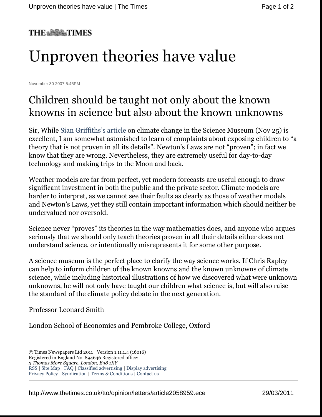#### **THE \*\*\*\* TIMES**

# Unproven theories have value

November 30 2007 5:45PM

### Children should be taught not only about the known knowns in science but also about the known unknowns

Sir, While Sian Griffiths's article on climate change in the Science Museum (Nov 25) is excellent, I am somewhat astonished to learn of complaints about exposing children to "a theory that is not proven in all its details". Newton's Laws are not "proven"; in fact we know that they are wrong. Nevertheless, they are extremely useful for day-to-day technology and making trips to the Moon and back.

Weather models are far from perfect, yet modern forecasts are useful enough to draw significant investment in both the public and the private sector. Climate models are harder to interpret, as we cannot see their faults as clearly as those of weather models and Newton's Laws, yet they still contain important information which should neither be undervalued nor oversold.

Science never "proves" its theories in the way mathematics does, and anyone who argues seriously that we should only teach theories proven in all their details either does not understand science, or intentionally misrepresents it for some other purpose.

A science museum is the perfect place to clarify the way science works. If Chris Rapley can help to inform children of the known knowns and the known unknowns of climate science, while including historical illustrations of how we discovered what were unknown unknowns, he will not only have taught our children what science is, but will also raise the standard of the climate policy debate in the next generation.

Professor Leonard Smith

London School of Economics and Pembroke College, Oxford

<sup>©</sup> Times Newspapers Ltd 2011 | Version 1.11.1.4 (16016) Registered in England No. 894646 Registered office: *3 Thomas More Square, London, E98 1XY*  RSS | Site Map | FAQ | Classified advertising | Display advertising Privacy Policy | Syndication | Terms & Conditions | Contact us